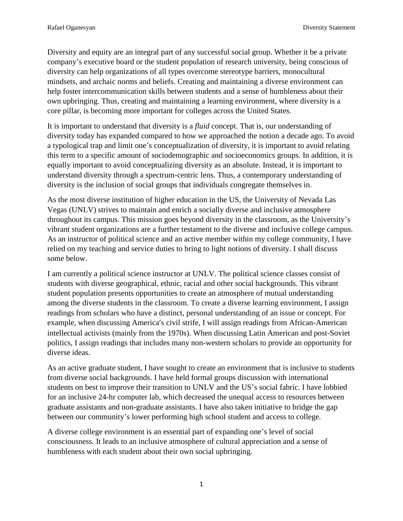Diversity and equity are an integral part of any successful social group. Whether it be a private company's executive board or the student population of research university, being conscious of diversity can help organizations of all types overcome stereotype barriers, monocultural mindsets, and archaic norms and beliefs. Creating and maintaining a diverse environment can help foster intercommunication skills between students and a sense of humbleness about their own upbringing. Thus, creating and maintaining a learning environment, where diversity is a core pillar, is becoming more important for colleges across the United States.

It is important to understand that diversity is a *fluid* concept. That is, our understanding of diversity today has expanded compared to how we approached the notion a decade ago. To avoid a typological trap and limit one's conceptualization of diversity, it is important to avoid relating this term to a specific amount of sociodemographic and socioeconomics groups. In addition, it is equally important to avoid conceptualizing diversity as an absolute. Instead, it is important to understand diversity through a spectrum-centric lens. Thus, a contemporary understanding of diversity is the inclusion of social groups that individuals congregate themselves in.

As the most diverse institution of higher education in the US, the University of Nevada Las Vegas (UNLV) strives to maintain and enrich a socially diverse and inclusive atmosphere throughout its campus. This mission goes beyond diversity in the classroom, as the University's vibrant student organizations are a further testament to the diverse and inclusive college campus. As an instructor of political science and an active member within my college community, I have relied on my teaching and service duties to bring to light notions of diversity. I shall discuss some below.

I am currently a political science instructor at UNLV. The political science classes consist of students with diverse geographical, ethnic, racial and other social backgrounds. This vibrant student population presents opportunities to create an atmosphere of mutual understanding among the diverse students in the classroom. To create a diverse learning environment, I assign readings from scholars who have a distinct, personal understanding of an issue or concept. For example, when discussing America's civil strife, I will assign readings from African-American intellectual activists (mainly from the 1970s). When discussing Latin American and post-Soviet politics, I assign readings that includes many non-western scholars to provide an opportunity for diverse ideas.

As an active graduate student, I have sought to create an environment that is inclusive to students from diverse social backgrounds. I have held formal groups discussion with international students on best to improve their transition to UNLV and the US's social fabric. I have lobbied for an inclusive 24-hr computer lab, which decreased the unequal access to resources between graduate assistants and non-graduate assistants. I have also taken initiative to bridge the gap between our community's lower performing high school student and access to college.

A diverse college environment is an essential part of expanding one's level of social consciousness. It leads to an inclusive atmosphere of cultural appreciation and a sense of humbleness with each student about their own social upbringing.